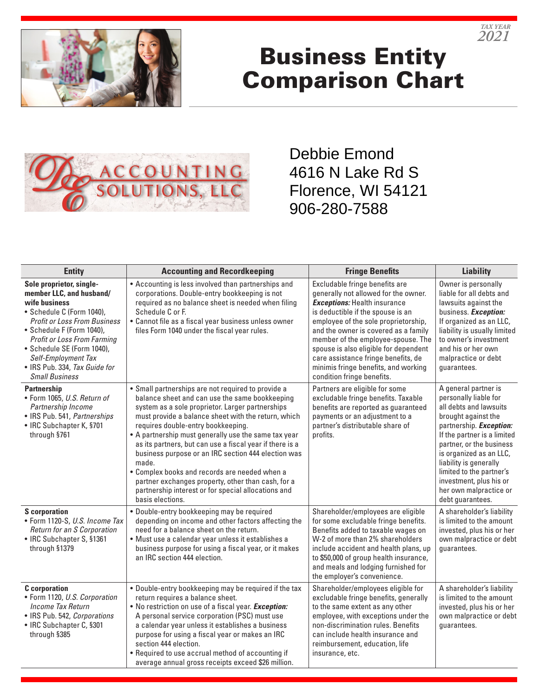

## Business Entity Comparison Chart

*TAX YEAR 2021*



Debbie Emond 4616 N Lake Rd S Florence, WI 54121 906-280-7588

| <b>Entity</b>                                                                                                                                                                                                                                                                                                               | <b>Accounting and Recordkeeping</b>                                                                                                                                                                                                                                                                                                                                                                                                                                                                                                                                                                                         | <b>Fringe Benefits</b>                                                                                                                                                                                                                                                                                                                                                                                                         | <b>Liability</b>                                                                                                                                                                                                                                                                                                                                      |
|-----------------------------------------------------------------------------------------------------------------------------------------------------------------------------------------------------------------------------------------------------------------------------------------------------------------------------|-----------------------------------------------------------------------------------------------------------------------------------------------------------------------------------------------------------------------------------------------------------------------------------------------------------------------------------------------------------------------------------------------------------------------------------------------------------------------------------------------------------------------------------------------------------------------------------------------------------------------------|--------------------------------------------------------------------------------------------------------------------------------------------------------------------------------------------------------------------------------------------------------------------------------------------------------------------------------------------------------------------------------------------------------------------------------|-------------------------------------------------------------------------------------------------------------------------------------------------------------------------------------------------------------------------------------------------------------------------------------------------------------------------------------------------------|
| Sole proprietor, single-<br>member LLC, and husband/<br>wife business<br>• Schedule C (Form 1040),<br><b>Profit or Loss From Business</b><br>• Schedule F (Form 1040),<br><b>Profit or Loss From Farming</b><br>• Schedule SE (Form 1040),<br>Self-Employment Tax<br>• IRS Pub. 334, Tax Guide for<br><b>Small Business</b> | • Accounting is less involved than partnerships and<br>corporations. Double-entry bookkeeping is not<br>required as no balance sheet is needed when filing<br>Schedule C or F.<br>• Cannot file as a fiscal year business unless owner<br>files Form 1040 under the fiscal year rules.                                                                                                                                                                                                                                                                                                                                      | Excludable fringe benefits are<br>generally not allowed for the owner.<br><b>Exceptions:</b> Health insurance<br>is deductible if the spouse is an<br>employee of the sole proprietorship,<br>and the owner is covered as a family<br>member of the employee-spouse. The<br>spouse is also eligible for dependent<br>care assistance fringe benefits, de<br>minimis fringe benefits, and working<br>condition fringe benefits. | Owner is personally<br>liable for all debts and<br>lawsuits against the<br>business. Exception:<br>If organized as an LLC,<br>liability is usually limited<br>to owner's investment<br>and his or her own<br>malpractice or debt<br>guarantees.                                                                                                       |
| <b>Partnership</b><br>• Form 1065, U.S. Return of<br>Partnership Income<br>• IRS Pub. 541, Partnerships<br>• IRC Subchapter K, §701<br>through §761                                                                                                                                                                         | • Small partnerships are not required to provide a<br>balance sheet and can use the same bookkeeping<br>system as a sole proprietor. Larger partnerships<br>must provide a balance sheet with the return, which<br>requires double-entry bookkeeping.<br>• A partnership must generally use the same tax year<br>as its partners, but can use a fiscal year if there is a<br>business purpose or an IRC section 444 election was<br>made.<br>• Complex books and records are needed when a<br>partner exchanges property, other than cash, for a<br>partnership interest or for special allocations and<br>basis elections. | Partners are eligible for some<br>excludable fringe benefits. Taxable<br>benefits are reported as guaranteed<br>payments or an adjustment to a<br>partner's distributable share of<br>profits.                                                                                                                                                                                                                                 | A general partner is<br>personally liable for<br>all debts and lawsuits<br>brought against the<br>partnership. <b>Exception:</b><br>If the partner is a limited<br>partner, or the business<br>is organized as an LLC,<br>liability is generally<br>limited to the partner's<br>investment, plus his or<br>her own malpractice or<br>debt guarantees. |
| <b>S</b> corporation<br>• Form 1120-S, U.S. Income Tax<br>Return for an S Corporation<br>• IRC Subchapter S, §1361<br>through §1379                                                                                                                                                                                         | · Double-entry bookkeeping may be required<br>depending on income and other factors affecting the<br>need for a balance sheet on the return.<br>· Must use a calendar year unless it establishes a<br>business purpose for using a fiscal year, or it makes<br>an IRC section 444 election.                                                                                                                                                                                                                                                                                                                                 | Shareholder/employees are eligible<br>for some excludable fringe benefits.<br>Benefits added to taxable wages on<br>W-2 of more than 2% shareholders<br>include accident and health plans, up<br>to \$50,000 of group health insurance,<br>and meals and lodging furnished for<br>the employer's convenience.                                                                                                                  | A shareholder's liability<br>is limited to the amount<br>invested, plus his or her<br>own malpractice or debt<br>guarantees.                                                                                                                                                                                                                          |
| <b>C</b> corporation<br>• Form 1120, U.S. Corporation<br>Income Tax Return<br>• IRS Pub. 542, Corporations<br>• IRC Subchapter C, §301<br>through §385                                                                                                                                                                      | . Double-entry bookkeeping may be required if the tax<br>return requires a balance sheet.<br>. No restriction on use of a fiscal year. Exception:<br>A personal service corporation (PSC) must use<br>a calendar year unless it establishes a business<br>purpose for using a fiscal year or makes an IRC<br>section 444 election.<br>• Required to use accrual method of accounting if<br>average annual gross receipts exceed \$26 million.                                                                                                                                                                               | Shareholder/employees eligible for<br>excludable fringe benefits, generally<br>to the same extent as any other<br>employee, with exceptions under the<br>non-discrimination rules. Benefits<br>can include health insurance and<br>reimbursement, education, life<br>insurance, etc.                                                                                                                                           | A shareholder's liability<br>is limited to the amount<br>invested, plus his or her<br>own malpractice or debt<br>guarantees.                                                                                                                                                                                                                          |